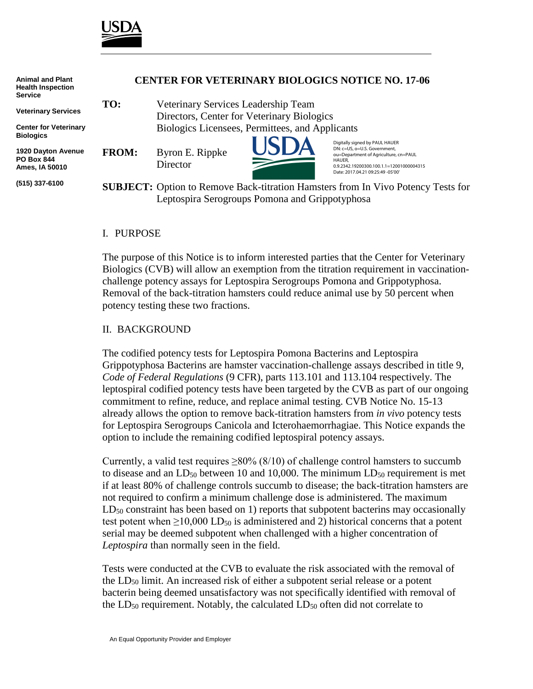

| <b>Animal and Plant</b><br><b>Health Inspection</b><br><b>Service</b>         | <b>CENTER FOR VETERINARY BIOLOGICS NOTICE NO. 17-06</b>                                 |                                                 |  |                                                                                                                                                                                                    |
|-------------------------------------------------------------------------------|-----------------------------------------------------------------------------------------|-------------------------------------------------|--|----------------------------------------------------------------------------------------------------------------------------------------------------------------------------------------------------|
| <b>Veterinary Services</b>                                                    | TO:                                                                                     | Veterinary Services Leadership Team             |  |                                                                                                                                                                                                    |
|                                                                               |                                                                                         | Directors, Center for Veterinary Biologics      |  |                                                                                                                                                                                                    |
| <b>Center for Veterinary</b>                                                  |                                                                                         | Biologics Licensees, Permittees, and Applicants |  |                                                                                                                                                                                                    |
| <b>Biologics</b><br>1920 Dayton Avenue<br><b>PO Box 844</b><br>Ames, IA 50010 | <b>FROM:</b>                                                                            | Byron E. Rippke<br>Director                     |  | Digitally signed by PAUL HAUER<br>DN: c=US, o=U.S. Government,<br>ou=Department of Agriculture, cn=PAUL<br>HAUER,<br>0.9.2342.19200300.100.1.1=12001000004315<br>Date: 2017.04.21 09:25:49 -05'00' |
| (515) 337-6100                                                                | <b>SUBJECT:</b> Option to Remove Back-titration Hamsters from In Vivo Potency Tests for |                                                 |  |                                                                                                                                                                                                    |
|                                                                               |                                                                                         | Leptospira Serogroups Pomona and Grippotyphosa  |  |                                                                                                                                                                                                    |

### I. PURPOSE

The purpose of this Notice is to inform interested parties that the Center for Veterinary Biologics (CVB) will allow an exemption from the titration requirement in vaccinationchallenge potency assays for Leptospira Serogroups Pomona and Grippotyphosa. Removal of the back-titration hamsters could reduce animal use by 50 percent when potency testing these two fractions.

#### II. BACKGROUND

The codified potency tests for Leptospira Pomona Bacterins and Leptospira Grippotyphosa Bacterins are hamster vaccination-challenge assays described in title 9, *Code of Federal Regulations* (9 CFR), parts 113.101 and 113.104 respectively. The leptospiral codified potency tests have been targeted by the CVB as part of our ongoing commitment to refine, reduce, and replace animal testing. CVB Notice No. 15-13 already allows the option to remove back-titration hamsters from *in vivo* potency tests for Leptospira Serogroups Canicola and Icterohaemorrhagiae. This Notice expands the option to include the remaining codified leptospiral potency assays.

Currently, a valid test requires  $\geq 80\%$  (8/10) of challenge control hamsters to succumb to disease and an  $LD_{50}$  between 10 and 10,000. The minimum  $LD_{50}$  requirement is met if at least 80% of challenge controls succumb to disease; the back-titration hamsters are not required to confirm a minimum challenge dose is administered. The maximum  $LD_{50}$  constraint has been based on 1) reports that subpotent bacterins may occasionally test potent when  $\geq 10,000$  LD<sub>50</sub> is administered and 2) historical concerns that a potent serial may be deemed subpotent when challenged with a higher concentration of *Leptospira* than normally seen in the field.

Tests were conducted at the CVB to evaluate the risk associated with the removal of the LD50 limit. An increased risk of either a subpotent serial release or a potent bacterin being deemed unsatisfactory was not specifically identified with removal of the  $LD_{50}$  requirement. Notably, the calculated  $LD_{50}$  often did not correlate to